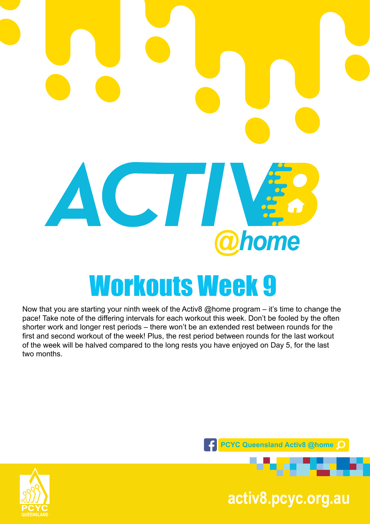

Now that you are starting your ninth week of the Activ8 @home program – it's time to change the pace! Take note of the differing intervals for each workout this week. Don't be fooled by the often shorter work and longer rest periods – there won't be an extended rest between rounds for the first and second workout of the week! Plus, the rest period between rounds for the last workout of the week will be halved compared to the long rests you have enjoyed on Day 5, for the last two months.





**pcyc.org.au activ8.pcyc.org.au**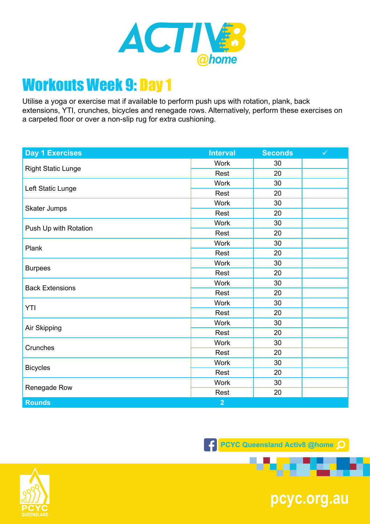

Utilise a yoga or exercise mat if available to perform push ups with rotation, plank, back extensions, YTI, crunches, bicycles and renegade rows. Alternatively, perform these exercises on a carpeted floor or over a non-slip rug for extra cushioning.

| <b>Day 1 Exercises</b>    | <b>Interval</b> | <b>Seconds</b> | $\checkmark$ |
|---------------------------|-----------------|----------------|--------------|
| <b>Right Static Lunge</b> | <b>Work</b>     | 30             |              |
|                           | Rest            | 20             |              |
| Left Static Lunge         | <b>Work</b>     | 30             |              |
|                           | Rest            | 20             |              |
| Skater Jumps              | <b>Work</b>     | 30             |              |
|                           | Rest            | 20             |              |
| Push Up with Rotation     | <b>Work</b>     | 30             |              |
|                           | Rest            | 20             |              |
| Plank                     | <b>Work</b>     | 30             |              |
|                           | Rest            | 20             |              |
|                           | <b>Work</b>     | 30             |              |
| <b>Burpees</b>            | Rest            | 20             |              |
| <b>Back Extensions</b>    | <b>Work</b>     | 30             |              |
|                           | Rest            | 20             |              |
| YTI                       | <b>Work</b>     | 30             |              |
|                           | Rest            | 20             |              |
| Air Skipping              | <b>Work</b>     | 30             |              |
|                           | Rest            | 20             |              |
| Crunches                  | <b>Work</b>     | 30             |              |
|                           | Rest            | 20             |              |
| <b>Bicycles</b>           | <b>Work</b>     | 30             |              |
|                           | Rest            | 20             |              |
| Renegade Row              | <b>Work</b>     | 30             |              |
|                           | Rest            | 20             |              |
| <b>Rounds</b>             | $\overline{2}$  |                |              |

**F** PCYC Queensland Activ8 @home Q



**pcyc.org.au**

a v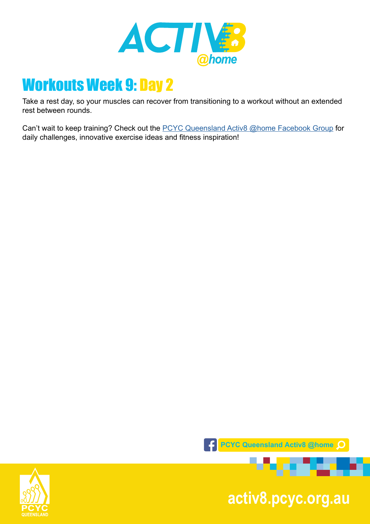

Take a rest day, so your muscles can recover from transitioning to a workout without an extended rest between rounds.

Can't wait to keep training? Check out the [PCYC Queensland Activ8 @home Facebook Group](https://www.facebook.com/groups/2652320985090996/) for daily challenges, innovative exercise ideas and fitness inspiration!



**pcyc.org.au activ8.pcyc.org.au**

. . .

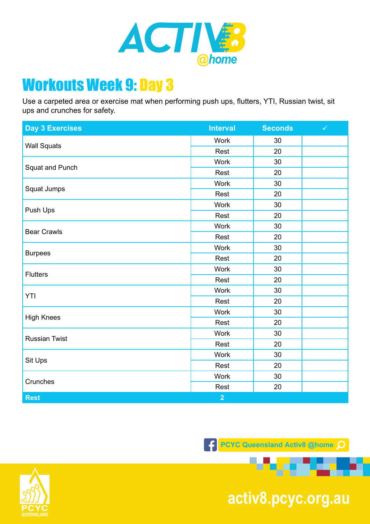

Use a carpeted area or exercise mat when performing push ups, flutters, YTI, Russian twist, sit ups and crunches for safety.

| <b>Day 3 Exercises</b> | <b>Interval</b> | <b>Seconds</b> | $\checkmark$ |
|------------------------|-----------------|----------------|--------------|
| <b>Wall Squats</b>     | <b>Work</b>     | 30             |              |
|                        | Rest            | 20             |              |
| Squat and Punch        | <b>Work</b>     | 30             |              |
|                        | Rest            | 20             |              |
| Squat Jumps            | <b>Work</b>     | 30             |              |
|                        | Rest            | 20             |              |
| Push Ups               | <b>Work</b>     | 30             |              |
|                        | Rest            | 20             |              |
| <b>Bear Crawls</b>     | <b>Work</b>     | 30             |              |
|                        | Rest            | 20             |              |
|                        | <b>Work</b>     | 30             |              |
| <b>Burpees</b>         | Rest            | 20             |              |
|                        | <b>Work</b>     | 30             |              |
| <b>Flutters</b>        | Rest            | 20             |              |
|                        | <b>Work</b>     | 30             |              |
| YTI                    | Rest            | 20             |              |
| <b>High Knees</b>      | <b>Work</b>     | 30             |              |
|                        | Rest            | 20             |              |
| <b>Russian Twist</b>   | <b>Work</b>     | 30             |              |
|                        | Rest            | 20             |              |
| Sit Ups                | <b>Work</b>     | 30             |              |
|                        | Rest            | 20             |              |
| Crunches               | <b>Work</b>     | 30             |              |
|                        | Rest            | 20             |              |
| <b>Rest</b>            | $\overline{2}$  |                |              |



**pcyc.org.au activ8.pcyc.org.au**

. . .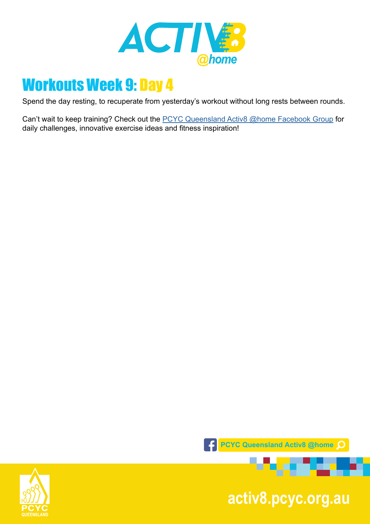

Spend the day resting, to recuperate from yesterday's workout without long rests between rounds.

Can't wait to keep training? Check out the **[PCYC Queensland Activ8 @home Facebook Group](https://www.facebook.com/groups/2652320985090996/)** for daily challenges, innovative exercise ideas and fitness inspiration!



**pcyc.org.au activ8.pcyc.org.au**

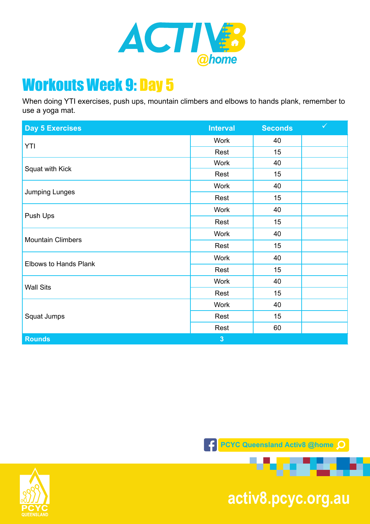

When doing YTI exercises, push ups, mountain climbers and elbows to hands plank, remember to use a yoga mat.

| <b>Day 5 Exercises</b>   | <b>Interval</b> | <b>Seconds</b> | $\checkmark$ |
|--------------------------|-----------------|----------------|--------------|
| YTI                      | Work            | 40             |              |
|                          | Rest            | 15             |              |
| Squat with Kick          | <b>Work</b>     | 40             |              |
|                          | Rest            | 15             |              |
| Jumping Lunges           | <b>Work</b>     | 40             |              |
|                          | Rest            | 15             |              |
| Push Ups                 | Work            | 40             |              |
|                          | Rest            | 15             |              |
| <b>Mountain Climbers</b> | Work            | 40             |              |
|                          | Rest            | 15             |              |
| Elbows to Hands Plank    | <b>Work</b>     | 40             |              |
|                          | Rest            | 15             |              |
| <b>Wall Sits</b>         | <b>Work</b>     | 40             |              |
|                          | Rest            | 15             |              |
| Squat Jumps              | <b>Work</b>     | 40             |              |
|                          | Rest            | 15             |              |
|                          | Rest            | 60             |              |
| <b>Rounds</b>            | 3               |                |              |

**F** PCYC Queensland Activ<sub>8</sub> @home Q



**pcyc.org.au activ8.pcyc.org.au**

a ta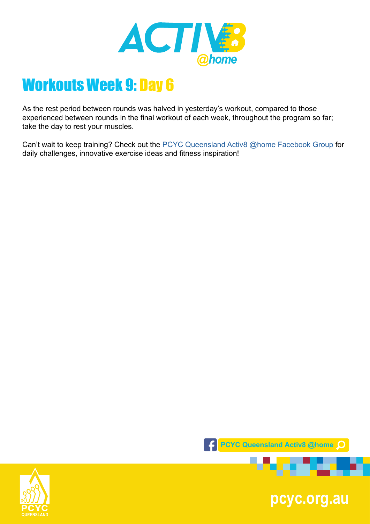

As the rest period between rounds was halved in yesterday's workout, compared to those experienced between rounds in the final workout of each week, throughout the program so far; take the day to rest your muscles.

Can't wait to keep training? Check out the **[PCYC Queensland Activ8 @home Facebook Group](https://www.facebook.com/groups/2652320985090996/)** for daily challenges, innovative exercise ideas and fitness inspiration!